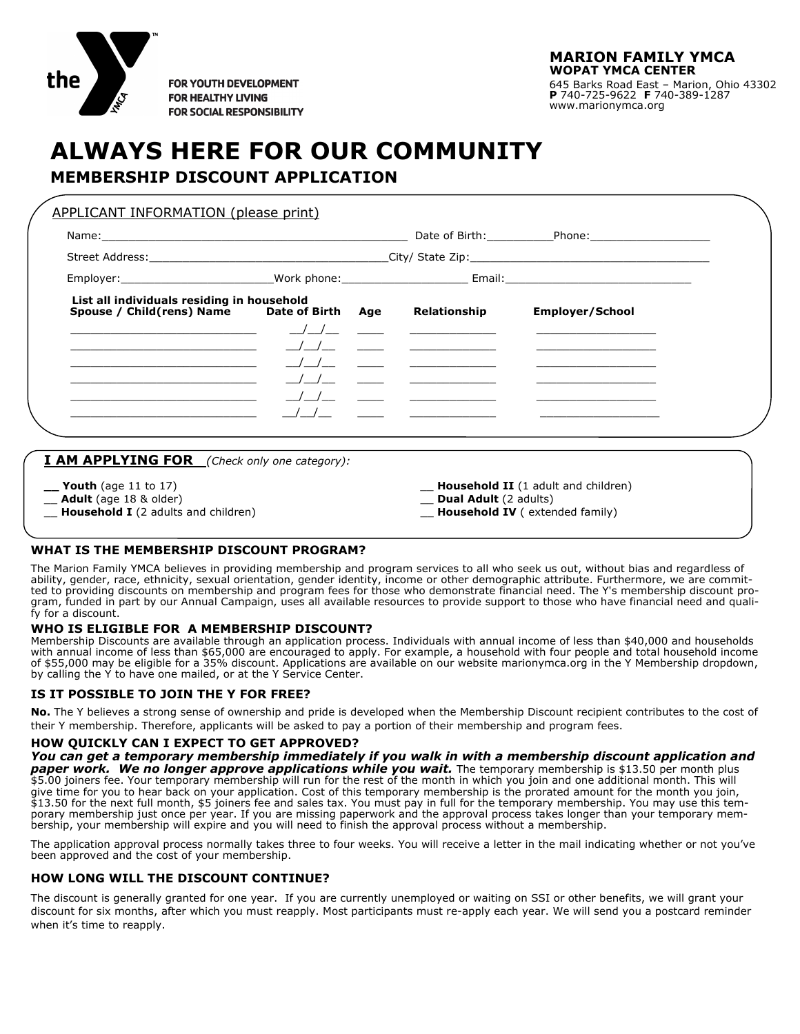

**FOR YOUTH DEVELOPMENT FOR HEALTHY LIVING FOR SOCIAL RESPONSIBILITY** 

# **ALWAYS HERE FOR OUR COMMUNITY**

### **MEMBERSHIP DISCOUNT APPLICATION**

| List all individuals residing in household<br>Spouse / Child(rens) Name Date of Birth Age                                                                                                                                                                                                                                                                                                                                                                                       |  | Relationship                            | <b>Employer/School</b>                                                                                                |  |
|---------------------------------------------------------------------------------------------------------------------------------------------------------------------------------------------------------------------------------------------------------------------------------------------------------------------------------------------------------------------------------------------------------------------------------------------------------------------------------|--|-----------------------------------------|-----------------------------------------------------------------------------------------------------------------------|--|
| $\overline{\phantom{a}}$ $\overline{\phantom{a}}$ $\overline{\phantom{a}}$ $\overline{\phantom{a}}$ $\overline{\phantom{a}}$ $\overline{\phantom{a}}$ $\overline{\phantom{a}}$ $\overline{\phantom{a}}$ $\overline{\phantom{a}}$ $\overline{\phantom{a}}$ $\overline{\phantom{a}}$ $\overline{\phantom{a}}$ $\overline{\phantom{a}}$ $\overline{\phantom{a}}$ $\overline{\phantom{a}}$ $\overline{\phantom{a}}$ $\overline{\phantom{a}}$ $\overline{\phantom{a}}$ $\overline{\$ |  | <u> 1989 - Johann Barbara, martin a</u> | the contract of the contract of the contract of the contract of the contract of                                       |  |
|                                                                                                                                                                                                                                                                                                                                                                                                                                                                                 |  |                                         | <u> Terminal de la propincia de la propincia de la propincia de la propincia de la propincia de la propincia de l</u> |  |
| <u> 1989 - Johann Barbara, martin da kasar Amerikaansk politik (</u>                                                                                                                                                                                                                                                                                                                                                                                                            |  |                                         | <u> 1980 - Johann Barbara, martin a</u>                                                                               |  |
| <u> 1989 - Johann Barbara, martin basalar (h. 1989).</u>                                                                                                                                                                                                                                                                                                                                                                                                                        |  |                                         | <u> Communication and Communication</u>                                                                               |  |
|                                                                                                                                                                                                                                                                                                                                                                                                                                                                                 |  |                                         |                                                                                                                       |  |
|                                                                                                                                                                                                                                                                                                                                                                                                                                                                                 |  |                                         |                                                                                                                       |  |
|                                                                                                                                                                                                                                                                                                                                                                                                                                                                                 |  |                                         |                                                                                                                       |  |
|                                                                                                                                                                                                                                                                                                                                                                                                                                                                                 |  |                                         |                                                                                                                       |  |
| <b>I AM APPLYING FOR</b> (Check only one category):                                                                                                                                                                                                                                                                                                                                                                                                                             |  |                                         |                                                                                                                       |  |

#### **WHAT IS THE MEMBERSHIP DISCOUNT PROGRAM?**

The Marion Family YMCA believes in providing membership and program services to all who seek us out, without bias and regardless of ability, gender, race, ethnicity, sexual orientation, gender identity, income or other demographic attribute. Furthermore, we are committed to providing discounts on membership and program fees for those who demonstrate financial need. The Y's membership discount program, funded in part by our Annual Campaign, uses all available resources to provide support to those who have financial need and qualify for a discount.

#### **WHO IS ELIGIBLE FOR A MEMBERSHIP DISCOUNT?**

Membership Discounts are available through an application process. Individuals with annual income of less than \$40,000 and households with annual income of less than \$65,000 are encouraged to apply. For example, a household with four people and total household income of \$55,000 may be eligible for a 35% discount. Applications are available on our website marionymca.org in the Y Membership dropdown, by calling the Y to have one mailed, or at the Y Service Center.

#### **IS IT POSSIBLE TO JOIN THE Y FOR FREE?**

**No.** The Y believes a strong sense of ownership and pride is developed when the Membership Discount recipient contributes to the cost of their Y membership. Therefore, applicants will be asked to pay a portion of their membership and program fees.

#### **HOW QUICKLY CAN I EXPECT TO GET APPROVED?**

*You can get a temporary membership immediately if you walk in with a membership discount application and*  **paper work. We no longer approve applications while you wait.** The temporary membership is \$13.50 per month plus \$5.00 joiners fee. Your temporary membership will run for the rest of the month in which you join and one additional month. This will give time for you to hear back on your application. Cost of this temporary membership is the prorated amount for the month you join, \$13.50 for the next full month, \$5 joiners fee and sales tax. You must pay in full for the temporary membership. You may use this temporary membership just once per year. If you are missing paperwork and the approval process takes longer than your temporary membership, your membership will expire and you will need to finish the approval process without a membership.

The application approval process normally takes three to four weeks. You will receive a letter in the mail indicating whether or not you've been approved and the cost of your membership.

#### **HOW LONG WILL THE DISCOUNT CONTINUE?**

The discount is generally granted for one year. If you are currently unemployed or waiting on SSI or other benefits, we will grant your discount for six months, after which you must reapply. Most participants must re-apply each year. We will send you a postcard reminder when it's time to reapply.